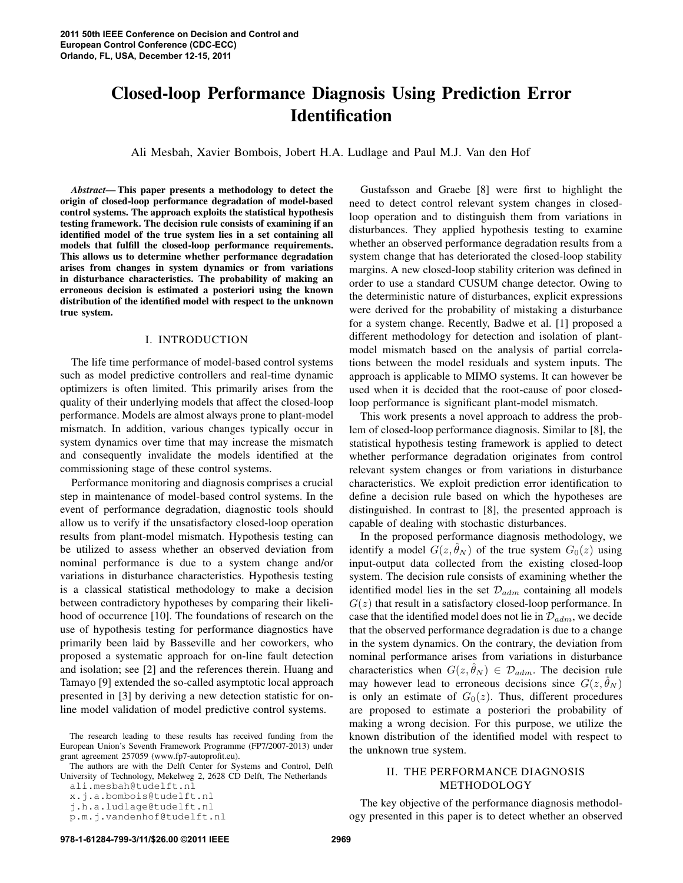# **Closed-loop Performance Diagnosis Using Prediction Error Identification**

Ali Mesbah, Xavier Bombois, Jobert H.A. Ludlage and Paul M.J. Van den Hof

*Abstract***— This paper presents a methodology to detect the origin of closed-loop performance degradation of model-based control systems. The approach exploits the statistical hypothesis testing framework. The decision rule consists of examining if an identified model of the true system lies in a set containing all models that fulfill the closed-loop performance requirements. This allows us to determine whether performance degradation arises from changes in system dynamics or from variations in disturbance characteristics. The probability of making an erroneous decision is estimated a posteriori using the known distribution of the identified model with respect to the unknown true system.**

#### I. INTRODUCTION

The life time performance of model-based control systems such as model predictive controllers and real-time dynamic optimizers is often limited. This primarily arises from the quality of their underlying models that affect the closed-loop performance. Models are almost always prone to plant-model mismatch. In addition, various changes typically occur in system dynamics over time that may increase the mismatch and consequently invalidate the models identified at the commissioning stage of these control systems.

Performance monitoring and diagnosis comprises a crucial step in maintenance of model-based control systems. In the event of performance degradation, diagnostic tools should allow us to verify if the unsatisfactory closed-loop operation results from plant-model mismatch. Hypothesis testing can be utilized to assess whether an observed deviation from nominal performance is due to a system change and/or variations in disturbance characteristics. Hypothesis testing is a classical statistical methodology to make a decision between contradictory hypotheses by comparing their likelihood of occurrence [10]. The foundations of research on the use of hypothesis testing for performance diagnostics have primarily been laid by Basseville and her coworkers, who proposed a systematic approach for on-line fault detection and isolation; see [2] and the references therein. Huang and Tamayo [9] extended the so-called asymptotic local approach presented in [3] by deriving a new detection statistic for online model validation of model predictive control systems.

The authors are with the Delft Center for Systems and Control, Delft University of Technology, Mekelweg 2, 2628 CD Delft, The Netherlands

x.j.a.bombois@tudelft.nl j.h.a.ludlage@tudelft.nl

Gustafsson and Graebe [8] were first to highlight the need to detect control relevant system changes in closedloop operation and to distinguish them from variations in disturbances. They applied hypothesis testing to examine whether an observed performance degradation results from a system change that has deteriorated the closed-loop stability margins. A new closed-loop stability criterion was defined in order to use a standard CUSUM change detector. Owing to the deterministic nature of disturbances, explicit expressions were derived for the probability of mistaking a disturbance for a system change. Recently, Badwe et al. [1] proposed a different methodology for detection and isolation of plantmodel mismatch based on the analysis of partial correlations between the model residuals and system inputs. The approach is applicable to MIMO systems. It can however be used when it is decided that the root-cause of poor closedloop performance is significant plant-model mismatch.

This work presents a novel approach to address the problem of closed-loop performance diagnosis. Similar to [8], the statistical hypothesis testing framework is applied to detect whether performance degradation originates from control relevant system changes or from variations in disturbance characteristics. We exploit prediction error identification to define a decision rule based on which the hypotheses are distinguished. In contrast to [8], the presented approach is capable of dealing with stochastic disturbances.

In the proposed performance diagnosis methodology, we identify a model  $G(z, \hat{\theta}_N)$  of the true system  $G_0(z)$  using input-output data collected from the existing closed-loop system. The decision rule consists of examining whether the identified model lies in the set  $\mathcal{D}_{adm}$  containing all models  $G(z)$  that result in a satisfactory closed-loop performance. In case that the identified model does not lie in  $\mathcal{D}_{adm}$ , we decide that the observed performance degradation is due to a change in the system dynamics. On the contrary, the deviation from nominal performance arises from variations in disturbance characteristics when  $G(z, \hat{\theta}_N) \in \mathcal{D}_{adm}$ . The decision rule may however lead to erroneous decisions since  $G(z, \hat{\theta}_N)$ is only an estimate of  $G_0(z)$ . Thus, different procedures are proposed to estimate a posteriori the probability of making a wrong decision. For this purpose, we utilize the known distribution of the identified model with respect to the unknown true system.

# II. THE PERFORMANCE DIAGNOSIS METHODOLOGY

The key objective of the performance diagnosis methodology presented in this paper is to detect whether an observed

The research leading to these results has received funding from the European Union's Seventh Framework Programme (FP7/2007-2013) under grant agreement 257059 (www.fp7-autoprofit.eu).

ali.mesbah@tudelft.nl

p.m.j.vandenhof@tudelft.nl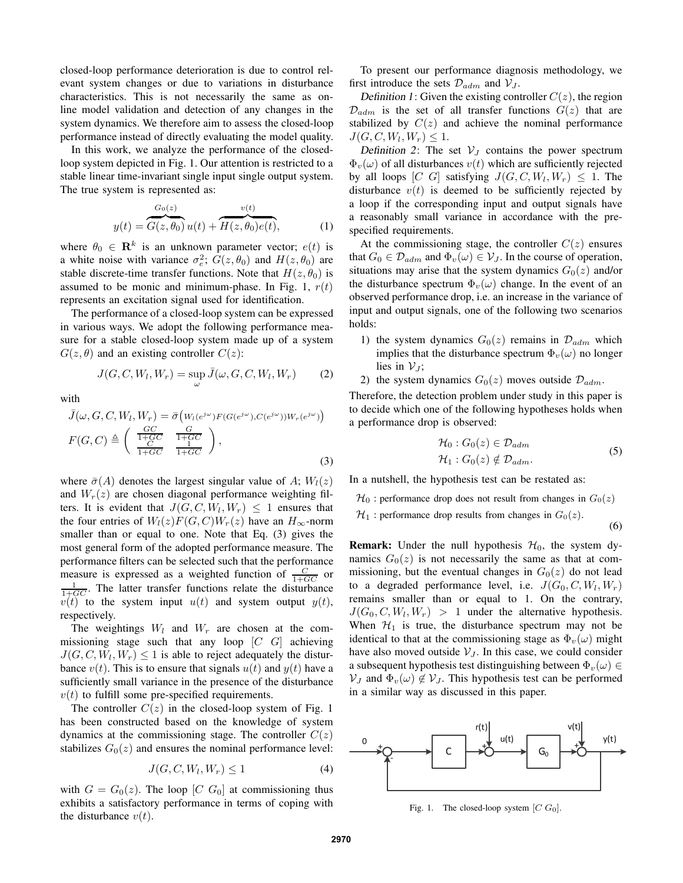closed-loop performance deterioration is due to control relevant system changes or due to variations in disturbance characteristics. This is not necessarily the same as online model validation and detection of any changes in the system dynamics. We therefore aim to assess the closed-loop performance instead of directly evaluating the model quality.

In this work, we analyze the performance of the closedloop system depicted in Fig. 1. Our attention is restricted to a stable linear time-invariant single input single output system. The true system is represented as:

$$
y(t) = \overbrace{G(z, \theta_0)}^{G_0(z)} u(t) + \overbrace{H(z, \theta_0)e(t)}^{v(t)},
$$
 (1)

where  $\theta_0 \in \mathbf{R}^k$  is an unknown parameter vector;  $e(t)$  is a white noise with variance  $\sigma_e^2$ ;  $G(z, \theta_0)$  and  $H(z, \theta_0)$  are stable discrete-time transfer functions. Note that  $H(z, \theta_0)$  is assumed to be monic and minimum-phase. In Fig. 1,  $r(t)$ represents an excitation signal used for identification.

The performance of a closed-loop system can be expressed in various ways. We adopt the following performance measure for a stable closed-loop system made up of a system  $G(z, \theta)$  and an existing controller  $C(z)$ :

$$
J(G, C, W_l, W_r) = \sup_{\omega} \bar{J}(\omega, G, C, W_l, W_r)
$$
 (2)

with

$$
\bar{J}(\omega, G, C, W_l, W_r) = \bar{\sigma} \left( W_l(e^{j\omega}) F(G(e^{j\omega}), C(e^{j\omega})) W_r(e^{j\omega}) \right)
$$
\n
$$
F(G, C) \triangleq \left( \frac{\frac{GC}{1+GC}}{\frac{1+GC}{1+GC}} \frac{\frac{G}{1+GC}}{\frac{1}{1+GC}} \right),
$$
\n(3)

where  $\bar{\sigma}(A)$  denotes the largest singular value of A;  $W_l(z)$ and  $W_r(z)$  are chosen diagonal performance weighting filters. It is evident that  $J(G, C, W_l, W_r) \leq 1$  ensures that the four entries of  $W_l(z)F(G, C)W_r(z)$  have an  $H_{\infty}$ -norm smaller than or equal to one. Note that Eq. (3) gives the most general form of the adopted performance measure. The performance filters can be selected such that the performance measure is expressed as a weighted function of  $\frac{C}{1+GC}$  or  $\frac{1}{1+GC}$ . The latter transfer functions relate the disturbance  $v(t)$  to the system input  $u(t)$  and system output  $y(t)$ , respectively.

The weightings  $W_l$  and  $W_r$  are chosen at the commissioning stage such that any loop  $[C \ G]$  achieving  $J(G, C, W_l, W_r) \leq 1$  is able to reject adequately the disturbance  $v(t)$ . This is to ensure that signals  $u(t)$  and  $y(t)$  have a sufficiently small variance in the presence of the disturbance  $v(t)$  to fulfill some pre-specified requirements.

The controller  $C(z)$  in the closed-loop system of Fig. 1 has been constructed based on the knowledge of system dynamics at the commissioning stage. The controller  $C(z)$ stabilizes  $G_0(z)$  and ensures the nominal performance level:

$$
J(G, C, W_l, W_r) \le 1\tag{4}
$$

with  $G = G_0(z)$ . The loop [C G<sub>0</sub>] at commissioning thus exhibits a satisfactory performance in terms of coping with the disturbance  $v(t)$ .

To present our performance diagnosis methodology, we first introduce the sets  $\mathcal{D}_{adm}$  and  $\mathcal{V}_J$ .

Definition 1: Given the existing controller  $C(z)$ , the region  $\mathcal{D}_{adm}$  is the set of all transfer functions  $G(z)$  that are stabilized by  $C(z)$  and achieve the nominal performance  $J(G, C, W_l, W_r) \leq 1.$ 

Definition 2: The set  $V_J$  contains the power spectrum  $\Phi_{v}(\omega)$  of all disturbances  $v(t)$  which are sufficiently rejected by all loops  $[C \ G]$  satisfying  $J(G, C, W_l, W_r) \leq 1$ . The disturbance  $v(t)$  is deemed to be sufficiently rejected by a loop if the corresponding input and output signals have a reasonably small variance in accordance with the prespecified requirements.

At the commissioning stage, the controller  $C(z)$  ensures that  $G_0 \in \mathcal{D}_{adm}$  and  $\Phi_v(\omega) \in \mathcal{V}_J$ . In the course of operation, situations may arise that the system dynamics  $G_0(z)$  and/or the disturbance spectrum  $\Phi_v(\omega)$  change. In the event of an observed performance drop, i.e. an increase in the variance of input and output signals, one of the following two scenarios holds:

- 1) the system dynamics  $G_0(z)$  remains in  $\mathcal{D}_{adm}$  which implies that the disturbance spectrum  $\Phi_v(\omega)$  no longer lies in  $V_J$ ;
- 2) the system dynamics  $G_0(z)$  moves outside  $\mathcal{D}_{adm}$ .

Therefore, the detection problem under study in this paper is to decide which one of the following hypotheses holds when a performance drop is observed:

$$
\mathcal{H}_0: G_0(z) \in \mathcal{D}_{adm} \mathcal{H}_1: G_0(z) \notin \mathcal{D}_{adm}.
$$
\n
$$
(5)
$$

In a nutshell, the hypothesis test can be restated as:

- $\mathcal{H}_0$ : performance drop does not result from changes in  $G_0(z)$
- $\mathcal{H}_1$ : performance drop results from changes in  $G_0(z)$ .

(6)

**Remark:** Under the null hypothesis  $H_0$ , the system dynamics  $G_0(z)$  is not necessarily the same as that at commissioning, but the eventual changes in  $G_0(z)$  do not lead to a degraded performance level, i.e.  $J(G_0, C, W_l, W_r)$ remains smaller than or equal to 1. On the contrary,  $J(G_0, C, W_l, W_r) > 1$  under the alternative hypothesis. When  $H_1$  is true, the disturbance spectrum may not be identical to that at the commissioning stage as  $\Phi_v(\omega)$  might have also moved outside  $V_J$ . In this case, we could consider a subsequent hypothesis test distinguishing between  $\Phi_v(\omega) \in$  $V_J$  and  $\Phi_{v}(\omega) \notin V_J$ . This hypothesis test can be performed in a similar way as discussed in this paper.



Fig. 1. The closed-loop system  $[C G_0]$ .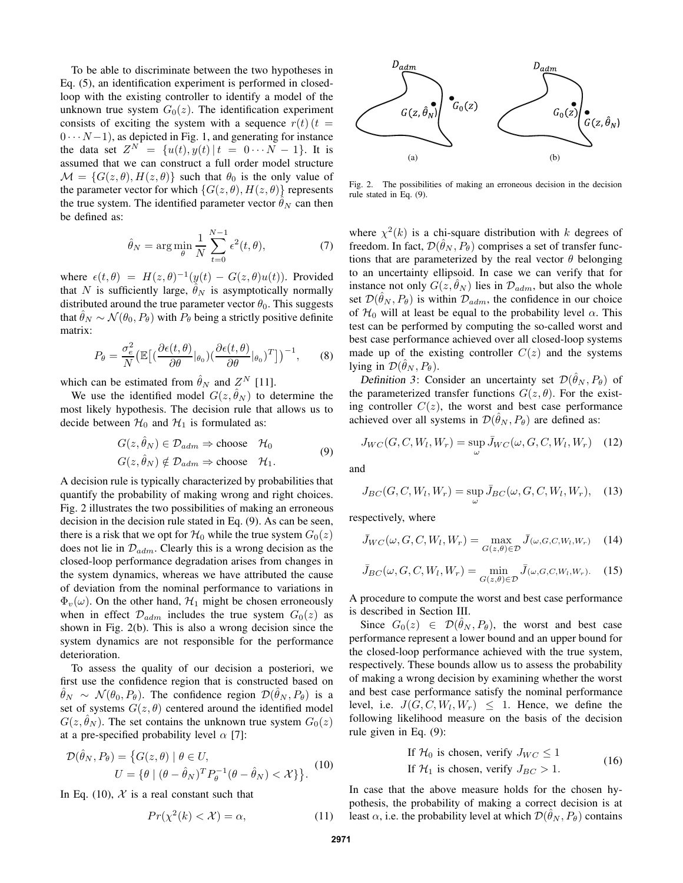To be able to discriminate between the two hypotheses in Eq. (5), an identification experiment is performed in closedloop with the existing controller to identify a model of the unknown true system  $G_0(z)$ . The identification experiment consists of exciting the system with a sequence  $r(t)$  (t =  $0 \cdots N-1$ , as depicted in Fig. 1, and generating for instance the data set  $Z^N = \{u(t), y(t) | t = 0 \cdots N - 1\}$ . It is assumed that we can construct a full order model structure  $\mathcal{M} = \{G(z, \theta), H(z, \theta)\}\$  such that  $\theta_0$  is the only value of the parameter vector for which  $\{G(z, \theta), H(z, \theta)\}\)$  represents the true system. The identified parameter vector  $\hat{\theta}_N$  can then be defined as:

$$
\hat{\theta}_N = \arg\min_{\theta} \frac{1}{N} \sum_{t=0}^{N-1} \epsilon^2(t, \theta), \tag{7}
$$

where  $\epsilon(t, \theta) = H(z, \theta)^{-1}(\psi(t) - G(z, \theta)u(t))$ . Provided that N is sufficiently large,  $\hat{\theta}_N$  is asymptotically normally distributed around the true parameter vector  $\theta_0$ . This suggests that  $\hat{\theta}_N \sim \mathcal{N}(\theta_0, P_\theta)$  with  $P_\theta$  being a strictly positive definite matrix:

$$
P_{\theta} = \frac{\sigma_e^2}{N} \left( \mathbb{E} \left[ \left( \frac{\partial \epsilon(t, \theta)}{\partial \theta} |_{\theta_0} \right) \left( \frac{\partial \epsilon(t, \theta)}{\partial \theta} |_{\theta_0} \right)^T \right] \right)^{-1}, \quad (8)
$$

which can be estimated from  $\hat{\theta}_N$  and  $Z^N$  [11].

We use the identified model  $G(z, \hat{\theta}_N)$  to determine the most likely hypothesis. The decision rule that allows us to decide between  $\mathcal{H}_0$  and  $\mathcal{H}_1$  is formulated as:

$$
G(z, \hat{\theta}_N) \in \mathcal{D}_{adm} \Rightarrow \text{choose } \mathcal{H}_0
$$
  

$$
G(z, \hat{\theta}_N) \notin \mathcal{D}_{adm} \Rightarrow \text{choose } \mathcal{H}_1.
$$
 (9)

A decision rule is typically characterized by probabilities that quantify the probability of making wrong and right choices. Fig. 2 illustrates the two possibilities of making an erroneous decision in the decision rule stated in Eq. (9). As can be seen, there is a risk that we opt for  $\mathcal{H}_0$  while the true system  $G_0(z)$ does not lie in  $\mathcal{D}_{adm}$ . Clearly this is a wrong decision as the closed-loop performance degradation arises from changes in the system dynamics, whereas we have attributed the cause of deviation from the nominal performance to variations in  $\Phi_{v}(\omega)$ . On the other hand,  $\mathcal{H}_1$  might be chosen erroneously when in effect  $\mathcal{D}_{adm}$  includes the true system  $G_0(z)$  as shown in Fig. 2(b). This is also a wrong decision since the system dynamics are not responsible for the performance deterioration.

To assess the quality of our decision a posteriori, we first use the confidence region that is constructed based on  $\hat{\theta}_N \sim \mathcal{N}(\theta_0, P_\theta)$ . The confidence region  $\mathcal{D}(\hat{\theta}_N, P_\theta)$  is a set of systems  $G(z, \theta)$  centered around the identified model  $G(z, \hat{\theta}_N)$ . The set contains the unknown true system  $G_0(z)$ at a pre-specified probability level  $\alpha$  [7]:

$$
\mathcal{D}(\hat{\theta}_N, P_{\theta}) = \{ G(z, \theta) \mid \theta \in U, U = \{ \theta \mid (\theta - \hat{\theta}_N)^T P_{\theta}^{-1} (\theta - \hat{\theta}_N) < \mathcal{X} \} \}.
$$
\n<sup>(10)</sup>

In Eq. (10),  $X$  is a real constant such that

$$
Pr(\chi^2(k) < \mathcal{X}) = \alpha,\tag{11}
$$



Fig. 2. The possibilities of making an erroneous decision in the decision rule stated in Eq. (9).

where  $\chi^2(k)$  is a chi-square distribution with k degrees of freedom. In fact,  $\mathcal{D}(\hat{\theta}_N, P_{\theta})$  comprises a set of transfer functions that are parameterized by the real vector  $\theta$  belonging to an uncertainty ellipsoid. In case we can verify that for instance not only  $G(z, \hat{\theta}_N)$  lies in  $\mathcal{D}_{adm}$ , but also the whole set  $\mathcal{D}(\hat{\theta}_N, P_{\theta})$  is within  $\mathcal{D}_{adm}$ , the confidence in our choice of  $H_0$  will at least be equal to the probability level  $\alpha$ . This test can be performed by computing the so-called worst and best case performance achieved over all closed-loop systems made up of the existing controller  $C(z)$  and the systems lying in  $\mathcal{D}(\hat{\theta}_N, P_\theta)$ .

Definition 3: Consider an uncertainty set  $\mathcal{D}(\hat{\theta}_N, P_{\theta})$  of the parameterized transfer functions  $G(z, \theta)$ . For the existing controller  $C(z)$ , the worst and best case performance achieved over all systems in  $\mathcal{D}(\hat{\theta}_N, P_{\theta})$  are defined as:

$$
J_{WC}(G, C, W_l, W_r) = \sup_{\omega} \bar{J}_{WC}(\omega, G, C, W_l, W_r) \quad (12)
$$

and

$$
J_{BC}(G, C, W_l, W_r) = \sup_{\omega} \bar{J}_{BC}(\omega, G, C, W_l, W_r), \quad (13)
$$

respectively, where

$$
\bar{J}_{WC}(\omega, G, C, W_l, W_r) = \max_{G(z, \theta) \in \mathcal{D}} \bar{J}(\omega, G, C, W_l, W_r)
$$
(14)

$$
\bar{J}_{BC}(\omega, G, C, W_l, W_r) = \min_{G(z, \theta) \in \mathcal{D}} \bar{J}_{(\omega, G, C, W_l, W_r)}.
$$
 (15)

A procedure to compute the worst and best case performance is described in Section III.

Since  $G_0(z) \in \mathcal{D}(\hat{\theta}_N, P_\theta)$ , the worst and best case performance represent a lower bound and an upper bound for the closed-loop performance achieved with the true system, respectively. These bounds allow us to assess the probability of making a wrong decision by examining whether the worst and best case performance satisfy the nominal performance level, i.e.  $J(G, C, W_l, W_r) \leq 1$ . Hence, we define the following likelihood measure on the basis of the decision rule given in Eq. (9):

If 
$$
\mathcal{H}_0
$$
 is chosen, verify  $J_{WC} \le 1$   
If  $\mathcal{H}_1$  is chosen, verify  $J_{BC} > 1$ . (16)

In case that the above measure holds for the chosen hypothesis, the probability of making a correct decision is at least  $\alpha$ , i.e. the probability level at which  $\mathcal{D}(\hat{\theta}_N, P_{\theta})$  contains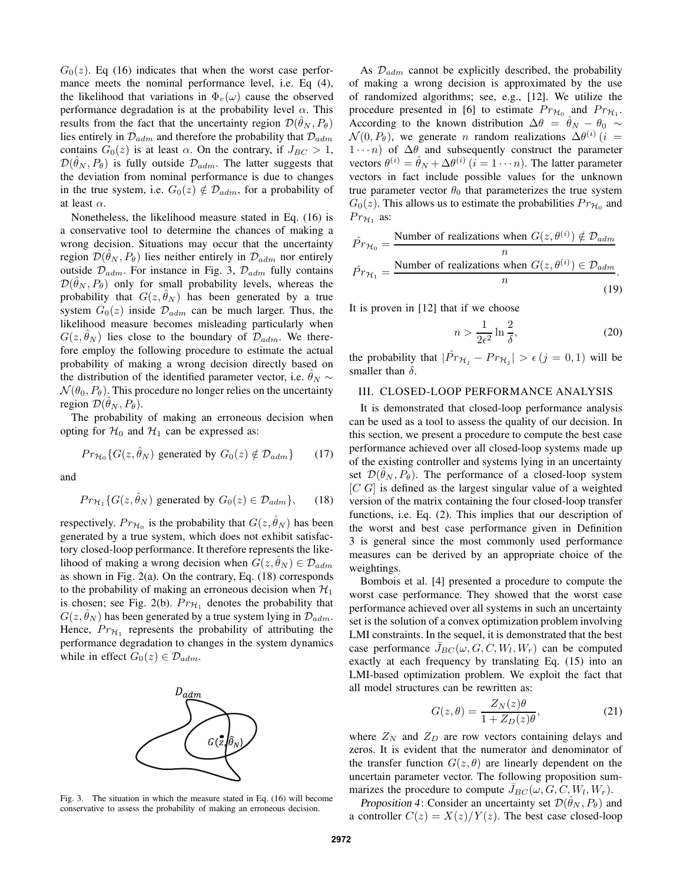$G<sub>0</sub>(z)$ . Eq (16) indicates that when the worst case performance meets the nominal performance level, i.e. Eq  $(4)$ , the likelihood that variations in  $\Phi_{\nu}(\omega)$  cause the observed performance degradation is at the probability level  $\alpha$ . This results from the fact that the uncertainty region  $\mathcal{D}(\hat{\theta}_N, P_\theta)$ lies entirely in  $\mathcal{D}_{adm}$  and therefore the probability that  $\mathcal{D}_{adm}$ contains  $G_0(z)$  is at least  $\alpha$ . On the contrary, if  $J_{BC} > 1$ ,  $\mathcal{D}(\hat{\theta}_N, P_{\theta})$  is fully outside  $\mathcal{D}_{adm}$ . The latter suggests that the deviation from nominal performance is due to changes in the true system, i.e.  $G_0(z) \notin \mathcal{D}_{adm}$ , for a probability of at least  $\alpha$ .

Nonetheless, the likelihood measure stated in Eq. (16) is a conservative tool to determine the chances of making a wrong decision. Situations may occur that the uncertainty region  $\mathcal{D}(\hat{\theta}_N, P_{\theta})$  lies neither entirely in  $\mathcal{D}_{adm}$  nor entirely outside  $\mathcal{D}_{adm}$ . For instance in Fig. 3,  $\mathcal{D}_{adm}$  fully contains  $\mathcal{D}(\hat{\theta}_N, P_{\theta})$  only for small probability levels, whereas the probability that  $G(z, \hat{\theta}_N)$  has been generated by a true system  $G_0(z)$  inside  $\mathcal{D}_{adm}$  can be much larger. Thus, the likelihood measure becomes misleading particularly when  $G(z, \hat{\theta}_N)$  lies close to the boundary of  $\mathcal{D}_{adm}$ . We therefore employ the following procedure to estimate the actual probability of making a wrong decision directly based on the distribution of the identified parameter vector, i.e.  $\hat{\theta}_N \sim$  $\mathcal{N}(\theta_0, P_\theta)$ . This procedure no longer relies on the uncertainty region  $\mathcal{D}(\hat{\theta}_N, P_{\theta}).$ 

The probability of making an erroneous decision when opting for  $\mathcal{H}_0$  and  $\mathcal{H}_1$  can be expressed as:

$$
Pr_{\mathcal{H}_0}\{G(z, \hat{\theta}_N) \text{ generated by } G_0(z) \notin \mathcal{D}_{adm}\}\qquad(17)
$$

and

$$
Pr_{\mathcal{H}_1} \{ G(z, \hat{\theta}_N) \text{ generated by } G_0(z) \in \mathcal{D}_{adm} \},\qquad(18)
$$

respectively.  $Pr_{\mathcal{H}_0}$  is the probability that  $G(z, \hat{\theta}_N)$  has been generated by a true system, which does not exhibit satisfactory closed-loop performance. It therefore represents the likelihood of making a wrong decision when  $G(z, \hat{\theta}_N) \in \mathcal{D}_{adm}$ as shown in Fig. 2(a). On the contrary, Eq. (18) corresponds to the probability of making an erroneous decision when  $\mathcal{H}_1$ is chosen; see Fig. 2(b).  $Pr_{H_1}$  denotes the probability that  $G(z, \hat{\theta}_N)$  has been generated by a true system lying in  $\mathcal{D}_{adm}$ . Hence,  $Pr_{\mathcal{H}_1}$  represents the probability of attributing the performance degradation to changes in the system dynamics while in effect  $G_0(z) \in \mathcal{D}_{adm}$ .



Fig. 3. The situation in which the measure stated in Eq. (16) will become conservative to assess the probability of making an erroneous decision.

As  $\mathcal{D}_{adm}$  cannot be explicitly described, the probability of making a wrong decision is approximated by the use of randomized algorithms; see, e.g., [12]. We utilize the procedure presented in [6] to estimate  $Pr_{\mathcal{H}_0}$  and  $Pr_{\mathcal{H}_1}$ . According to the known distribution  $\Delta \theta = \theta_N - \theta_0 \sim$  $\mathcal{N}(0, P_{\theta})$ , we generate *n* random realizations  $\Delta \theta^{(i)}$  (*i* =  $1 \cdots n$ ) of  $\Delta \theta$  and subsequently construct the parameter vectors  $\theta^{(i)} = \hat{\theta}_N + \Delta \theta^{(i)}$   $(i = 1 \cdots n)$ . The latter parameter vectors in fact include possible values for the unknown true parameter vector  $\theta_0$  that parameterizes the true system  $G_0(z)$ . This allows us to estimate the probabilities  $Pr_{\mathcal{H}_0}$  and  $Pr_{\mathcal{H}_1}$  as:

$$
\hat{Pr}_{\mathcal{H}_0} = \frac{\text{Number of realizations when } G(z, \theta^{(i)}) \notin \mathcal{D}_{adm}}{n}
$$
\n
$$
\hat{Pr}_{\mathcal{H}_1} = \frac{\text{Number of realizations when } G(z, \theta^{(i)}) \in \mathcal{D}_{adm}}{n}.
$$
\n(19)

It is proven in [12] that if we choose

$$
n > \frac{1}{2\epsilon^2} \ln \frac{2}{\delta},\tag{20}
$$

the probability that  $|\hat{Pr}_{\mathcal{H}_j} - Pr_{\mathcal{H}_j}| > \epsilon (j = 0, 1)$  will be smaller than  $\delta$ .

### III. CLOSED-LOOP PERFORMANCE ANALYSIS

It is demonstrated that closed-loop performance analysis can be used as a tool to assess the quality of our decision. In this section, we present a procedure to compute the best case performance achieved over all closed-loop systems made up of the existing controller and systems lying in an uncertainty set  $\mathcal{D}(\hat{\theta}_N, P_\theta)$ . The performance of a closed-loop system  $[C G]$  is defined as the largest singular value of a weighted version of the matrix containing the four closed-loop transfer functions, i.e. Eq. (2). This implies that our description of the worst and best case performance given in Definition 3 is general since the most commonly used performance measures can be derived by an appropriate choice of the weightings.

Bombois et al. [4] presented a procedure to compute the worst case performance. They showed that the worst case performance achieved over all systems in such an uncertainty set is the solution of a convex optimization problem involving LMI constraints. In the sequel, it is demonstrated that the best case performance  $\bar{J}_{BC}(\omega, G, C, W_l, W_r)$  can be computed exactly at each frequency by translating Eq. (15) into an LMI-based optimization problem. We exploit the fact that all model structures can be rewritten as:

$$
G(z,\theta) = \frac{Z_N(z)\theta}{1 + Z_D(z)\theta},\tag{21}
$$

where  $Z_N$  and  $Z_D$  are row vectors containing delays and zeros. It is evident that the numerator and denominator of the transfer function  $G(z, \theta)$  are linearly dependent on the uncertain parameter vector. The following proposition summarizes the procedure to compute  $\bar{J}_{BC}(\omega, G, C, W_l, W_r)$ .

Proposition 4: Consider an uncertainty set  $\mathcal{D}(\hat{\theta}_N, P_{\theta})$  and a controller  $C(z) = X(z)/Y(z)$ . The best case closed-loop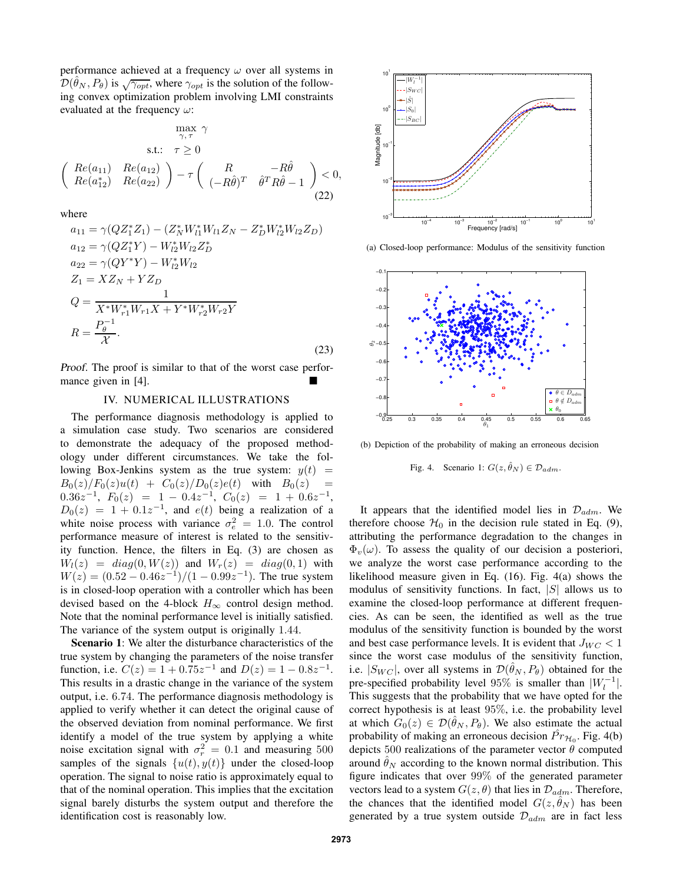performance achieved at a frequency  $\omega$  over all systems in  $\mathcal{D}(\hat{\theta}_N, P_{\theta})$  is  $\sqrt{\gamma_{opt}}$ , where  $\gamma_{opt}$  is the solution of the following convex optimization problem involving LMI constraints evaluated at the frequency  $\omega$ :

$$
\max_{\gamma,\tau} \gamma
$$
  
s.t.:  $\tau \ge 0$   

$$
\begin{pmatrix} Re(a_{11}) & Re(a_{12}) \ Re(a_{22}) \end{pmatrix} - \tau \begin{pmatrix} R & -R\hat{\theta} \\ (-R\hat{\theta})^T & \hat{\theta}^T R \hat{\theta} - 1 \end{pmatrix} < 0,
$$
  
(22)

where

$$
a_{11} = \gamma (QZ_1^* Z_1) - (Z_N^* W_{11}^* W_{11} Z_N - Z_D^* W_{12}^* W_{12} Z_D)
$$
  
\n
$$
a_{12} = \gamma (QZ_1^* Y) - W_{12}^* W_{12} Z_D^*
$$
  
\n
$$
a_{22} = \gamma (QY^* Y) - W_{12}^* W_{12}
$$
  
\n
$$
Z_1 = X Z_N + Y Z_D
$$
  
\n
$$
Q = \frac{1}{X^* W_{r1}^* W_{r1} X + Y^* W_{r2}^* W_{r2} Y}
$$
  
\n
$$
R = \frac{P_\theta^{-1}}{\chi}.
$$
\n(23)

Proof. The proof is similar to that of the worst case performance given in [4].

#### IV. NUMERICAL ILLUSTRATIONS

The performance diagnosis methodology is applied to a simulation case study. Two scenarios are considered to demonstrate the adequacy of the proposed methodology under different circumstances. We take the following Box-Jenkins system as the true system:  $y(t)$  =  $B_0(z)/F_0(z)u(t) + C_0(z)/D_0(z)e(t)$  with  $B_0(z)$  $0.36z^{-1}, F_0(z) = 1 - 0.4z^{-1}, C_0(z) = 1 + 0.6z^{-1},$  $D_0(z) = 1 + 0.1z^{-1}$ , and  $e(t)$  being a realization of a white noise process with variance  $\sigma_e^2 = 1.0$ . The control performance measure of interest is related to the sensitivity function. Hence, the filters in Eq. (3) are chosen as  $W_l(z) = diag(0, W(z))$  and  $W_r(z) = diag(0, 1)$  with  $W(z) = (0.52 - 0.46z^{-1})/(1 - 0.99z^{-1})$ . The true system is in closed-loop operation with a controller which has been devised based on the 4-block  $H_{\infty}$  control design method. Note that the nominal performance level is initially satisfied. The variance of the system output is originally 1.44.

**Scenario 1**: We alter the disturbance characteristics of the true system by changing the parameters of the noise transfer function, i.e.  $C(z) = 1 + 0.75z^{-1}$  and  $D(z) = 1 - 0.8z^{-1}$ . This results in a drastic change in the variance of the system output, i.e. 6.74. The performance diagnosis methodology is applied to verify whether it can detect the original cause of the observed deviation from nominal performance. We first identify a model of the true system by applying a white noise excitation signal with  $\sigma_r^2 = 0.1$  and measuring 500 samples of the signals  $\{u(t), y(t)\}\$  under the closed-loop operation. The signal to noise ratio is approximately equal to that of the nominal operation. This implies that the excitation signal barely disturbs the system output and therefore the identification cost is reasonably low.



(a) Closed-loop performance: Modulus of the sensitivity function



(b) Depiction of the probability of making an erroneous decision

Fig. 4. Scenario 1:  $G(z, \hat{\theta}_N) \in \mathcal{D}_{adm}$ .

It appears that the identified model lies in  $\mathcal{D}_{adm}$ . We therefore choose  $\mathcal{H}_0$  in the decision rule stated in Eq. (9), attributing the performance degradation to the changes in  $\Phi_{\nu}(\omega)$ . To assess the quality of our decision a posteriori, we analyze the worst case performance according to the likelihood measure given in Eq. (16). Fig. 4(a) shows the modulus of sensitivity functions. In fact,  $|S|$  allows us to examine the closed-loop performance at different frequencies. As can be seen, the identified as well as the true modulus of the sensitivity function is bounded by the worst and best case performance levels. It is evident that  $J_{WC}$  < 1 since the worst case modulus of the sensitivity function, i.e.  $|S_{WC}|$ , over all systems in  $\mathcal{D}(\hat{\theta}_N, P_{\theta})$  obtained for the pre-specified probability level 95% is smaller than  $|W_l^{-1}|$ . This suggests that the probability that we have opted for the correct hypothesis is at least 95%, i.e. the probability level at which  $G_0(z) \in \mathcal{D}(\hat{\theta}_N, P_\theta)$ . We also estimate the actual probability of making an erroneous decision  $\hat{Pr}_{H_0}$ . Fig. 4(b) depicts 500 realizations of the parameter vector  $\theta$  computed around  $\hat{\theta}_N$  according to the known normal distribution. This figure indicates that over 99% of the generated parameter vectors lead to a system  $G(z, \theta)$  that lies in  $\mathcal{D}_{adm}$ . Therefore, the chances that the identified model  $G(z, \hat{\theta}_N)$  has been generated by a true system outside  $\mathcal{D}_{adm}$  are in fact less